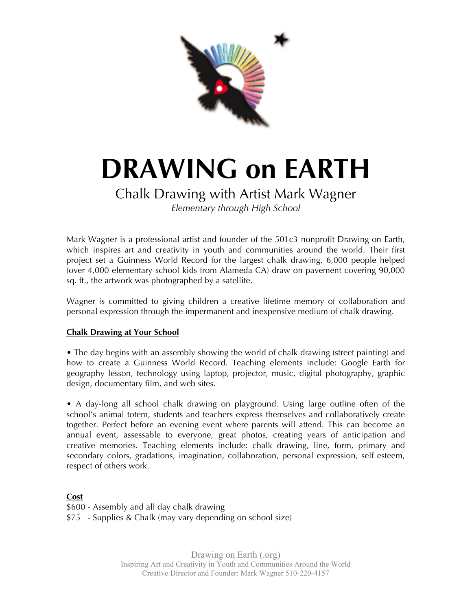

# **DRAWING on EARTH**

## Chalk Drawing with Artist Mark Wagner

*Elementary through High School*

Mark Wagner is a professional artist and founder of the 501c3 nonprofit Drawing on Earth, which inspires art and creativity in youth and communities around the world. Their first project set a Guinness World Record for the largest chalk drawing. 6,000 people helped (over 4,000 elementary school kids from Alameda CA) draw on pavement covering 90,000 sq. ft., the artwork was photographed by a satellite.

Wagner is committed to giving children a creative lifetime memory of collaboration and personal expression through the impermanent and inexpensive medium of chalk drawing.

#### **Chalk Drawing at Your School**

• The day begins with an assembly showing the world of chalk drawing (street painting) and how to create a Guinness World Record. Teaching elements include: Google Earth for geography lesson, technology using laptop, projector, music, digital photography, graphic design, documentary film, and web sites.

• A day-long all school chalk drawing on playground. Using large outline often of the school's animal totem, students and teachers express themselves and collaboratively create together. Perfect before an evening event where parents will attend. This can become an annual event, assessable to everyone, great photos, creating years of anticipation and creative memories. Teaching elements include: chalk drawing, line, form, primary and secondary colors, gradations, imagination, collaboration, personal expression, self esteem, respect of others work.

**Cost** \$600 - Assembly and all day chalk drawing \$75 - Supplies & Chalk (may vary depending on school size)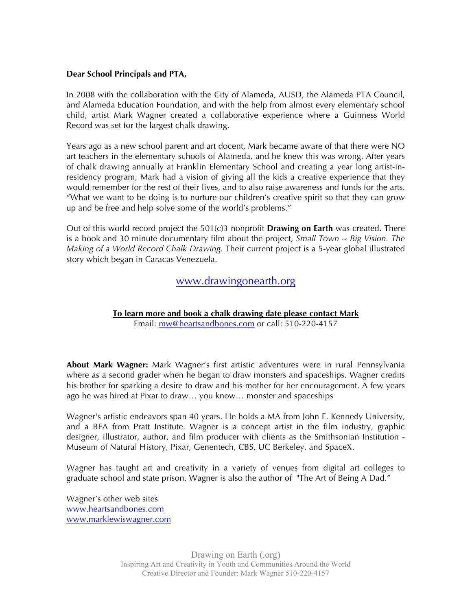#### **Dear School Principals and PTA,**

In 2008 with the collaboration with the City of Alameda, AUSD, the Alameda PTA Council, and Alameda Education Foundation, and with the help from almost every elementary school child, artist Mark Wagner created a collaborative experience where a Guinness World Record was set for the largest chalk drawing.

Years ago as a new school parent and art docent, Mark became aware of that there were NO art teachers in the elementary schools of Alameda, and he knew this was wrong. After years of chalk drawing annually at Franklin Elementary School and creating a year long artist-inresidency program, Mark had a vision of giving all the kids a creative experience that they would remember for the rest of their lives, and to also raise awareness and funds for the arts. "What we want to be doing is to nurture our children's creative spirit so that they can grow up and be free and help solve some of the world's problems."

Out of this world record project the 501(c)3 nonprofit **Drawing on Earth** was created. There is a book and 30 minute documentary film about the project, *Small Town ~ Big Vision. The Making of a World Record Chalk Drawing.* Their current project is a 5-year global illustrated story which began in Caracas Venezuela.

#### www.drawingonearth.org

**To learn more and book a chalk drawing date please contact Mark**

Email: mw@heartsandbones.com or call: 510-220-4157

**About Mark Wagner:** Mark Wagner's first artistic adventures were in rural Pennsylvania where as a second grader when he began to draw monsters and spaceships. Wagner credits his brother for sparking a desire to draw and his mother for her encouragement. A few years ago he was hired at Pixar to draw… you know… monster and spaceships

Wagner's artistic endeavors span 40 years. He holds a MA from John F. Kennedy University, and a BFA from Pratt Institute. Wagner is a concept artist in the film industry, graphic designer, illustrator, author, and film producer with clients as the Smithsonian Institution - Museum of Natural History, Pixar, Genentech, CBS, UC Berkeley, and SpaceX.

Wagner has taught art and creativity in a variety of venues from digital art colleges to graduate school and state prison. Wagner is also the author of "The Art of Being A Dad."

Wagner's other web sites www.heartsandbones.com www.marklewiswagner.com